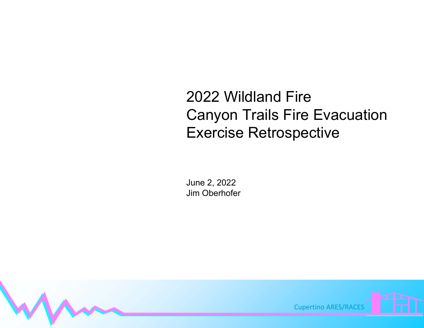## 2022 Wildland FireCanyon Trails Fire Evacuation Exercise Retrospective

June 2, 2022 Jim Oberhofer

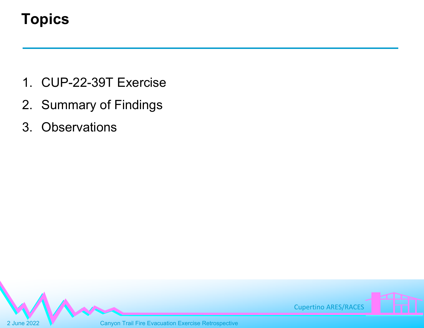## **Topics**

- 1. CUP-22-39T Exercise
- 2. Summary of Findings
- 3. Observations

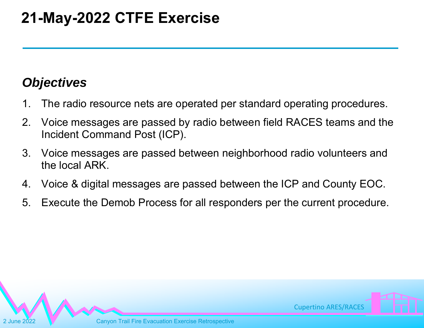## *Objectives*

- 1. The radio resource nets are operated per standard operating procedures.
- 2. Voice messages are passed by radio between field RACES teams and the Incident Command Post (ICP).
- 3. Voice messages are passed between neighborhood radio volunteers and the local ARK.
- 4. Voice & digital messages are passed between the ICP and County EOC.
- 5. Execute the Demob Process for all responders per the current procedure.

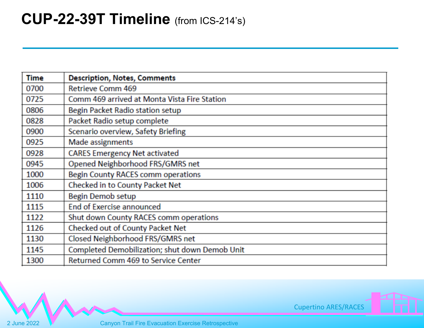## **CUP-22-39T Timeline** (from ICS-214's)

| <b>Time</b> | <b>Description, Notes, Comments</b>            |
|-------------|------------------------------------------------|
| 0700        | <b>Retrieve Comm 469</b>                       |
| 0725        | Comm 469 arrived at Monta Vista Fire Station   |
| 0806        | Begin Packet Radio station setup               |
| 0828        | Packet Radio setup complete                    |
| 0900        | Scenario overview, Safety Briefing             |
| 0925        | Made assignments                               |
| 0928        | <b>CARES Emergency Net activated</b>           |
| 0945        | Opened Neighborhood FRS/GMRS net               |
| 1000        | Begin County RACES comm operations             |
| 1006        | <b>Checked in to County Packet Net</b>         |
| 1110        | <b>Begin Demob setup</b>                       |
| 1115        | <b>End of Exercise announced</b>               |
| 1122        | Shut down County RACES comm operations         |
| 1126        | Checked out of County Packet Net               |
| 1130        | Closed Neighborhood FRS/GMRS net               |
| 1145        | Completed Demobilization; shut down Demob Unit |
| 1300        | Returned Comm 469 to Service Center            |

Cupertino ARES/RACES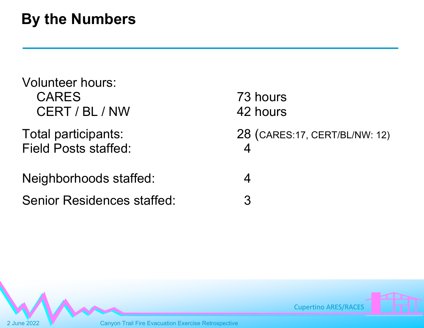## **By the Numbers**

| <b>Volunteer hours:</b><br><b>CARES</b><br>CERT / BL / NW | 73 hours<br>42 hours                              |
|-----------------------------------------------------------|---------------------------------------------------|
| Total participants:<br><b>Field Posts staffed:</b>        | 28 (CARES:17, CERT/BL/NW: 12)<br>$\boldsymbol{4}$ |
| Neighborhoods staffed:                                    | 4                                                 |
| <b>Senior Residences staffed:</b>                         | 3                                                 |

Cupertino ARES/RACES

2 June 2022 V Canyon Trail Fire Evacuation Exercise Retrospective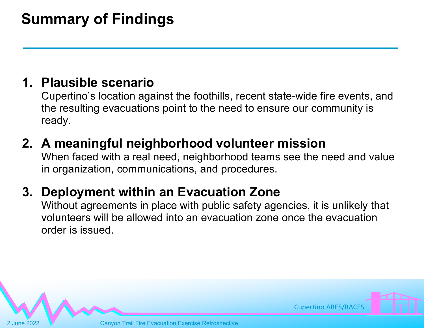# **Summary of Findings**

#### **1. Plausible scenario**

Cupertino's location against the foothills, recent state-wide fire events, and the resulting evacuations point to the need to ensure our community is ready.

#### **2. A meaningful neighborhood volunteer mission**

When faced with a real need, neighborhood teams see the need and value in organization, communications, and procedures.

### **3. Deployment within an Evacuation Zone**

Without agreements in place with public safety agencies, it is unlikely that volunteers will be allowed into an evacuation zone once the evacuation order is issued.

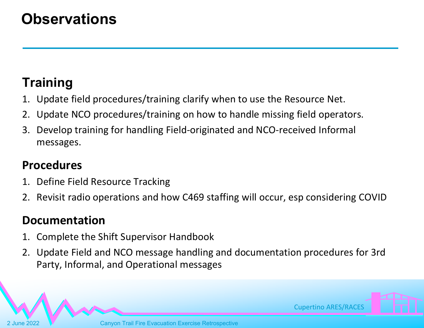## **Observations**

### **Training**

- 1. Update field procedures/training clarify when to use the Resource Net.
- 2. Update NCO procedures/training on how to handle missing field operators.
- 3. Develop training for handling Field‐originated and NCO‐received Informal messages.

#### **Procedures**

- 1. Define Field Resource Tracking
- 2. Revisit radio operations and how C469 staffing will occur, esp considering COVID

#### **Documentation**

- 1. Complete the Shift Supervisor Handbook
- 2. Update Field and NCO message handling and documentation procedures for 3rd Party, Informal, and Operational messages

Cupertino ARES/RACES

**Canyon Trail Fire Evacuation Exercise Retrospective**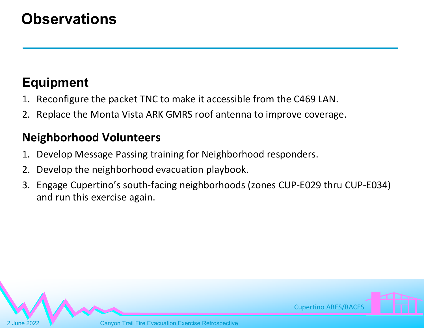## **Observations**

## **Equipment**

- 1. Reconfigure the packet TNC to make it accessible from the C469 LAN.
- 2. Replace the Monta Vista ARK GMRS roof antenna to improve coverage.

#### **Neighborhood Volunteers**

- 1. Develop Message Passing training for Neighborhood responders.
- 2. Develop the neighborhood evacuation playbook.
- 3. Engage Cupertino's south‐facing neighborhoods (zones CUP‐E029 thru CUP‐E034) and run this exercise again.

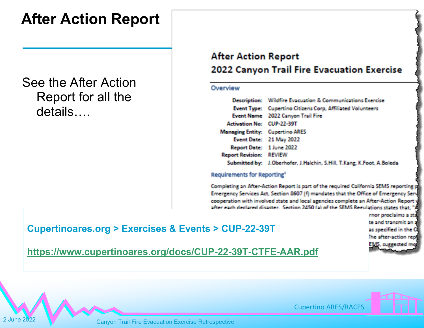## **After Action Report**

See the After Action Report for all the details….

#### **After Action Report** 2022 Canyon Trail Fire Evacuation Exercise

#### Overview

|                                        | Description: Wildfire Evacuation & Communications Exercise             |
|----------------------------------------|------------------------------------------------------------------------|
|                                        | Event Type: Cupertino Citizens Corp, Affiliated Volunteers             |
|                                        | Event Name 2022 Canyon Trail Fire                                      |
| <b>Activation No: CUP-22-39T</b>       |                                                                        |
| <b>Managing Entity: Cupertino ARES</b> |                                                                        |
|                                        | Event Date: 21 May 2022                                                |
| Report Date: 1 June 2022               |                                                                        |
| <b>Report Revision: REVIEW</b>         |                                                                        |
|                                        | Submitted by: J.Oberhofer, J.Halchin, S.Hill, T.Kang, K.Foot, A.Boleda |

#### Requirements for Reporting<sup>1</sup>

Completing an After-Action Report is part of the required California SEMS reporting p Emergency Services Act, Section 8607 (f) mandates that the Office of Emergency Serv cooperation with involved state and local agencies complete an After-Action Report after each declared disaster. Section 2450 (a) of the SEMS Regulations states that.

**Cupertinoares.org > Exercises & Events > CUP-22-39T** 

rnor proclaims a st te and transmit an as specified in the he after-action re 15. succested

**https://www.cupertinoares.org/docs/CUP-22-39T-CTFE-AAR.pdf**



2 June 2022